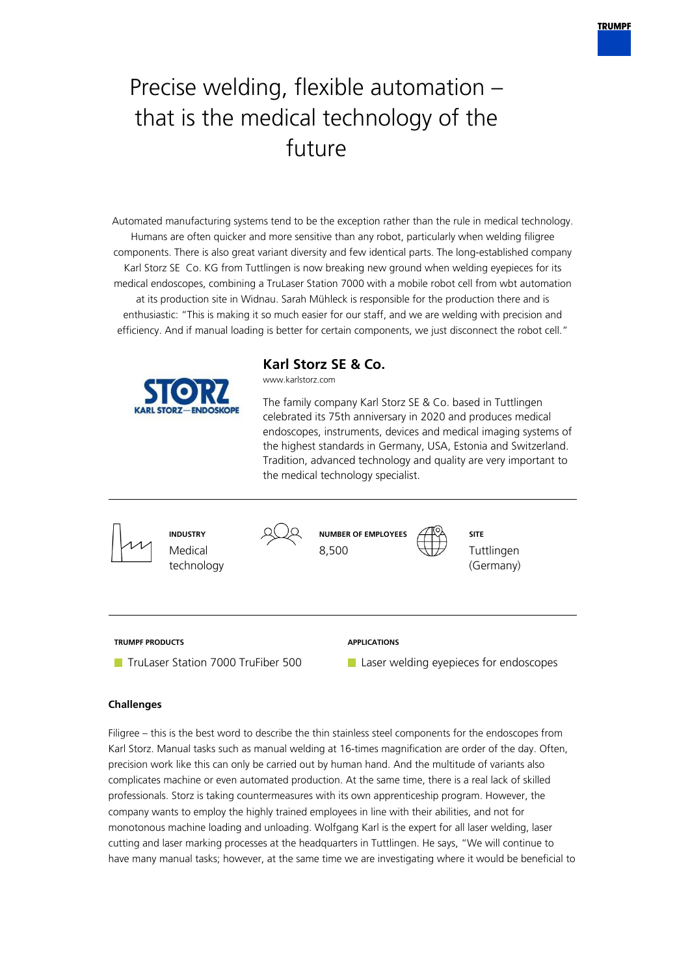

# Precise welding, flexible automation – that is the medical technology of the future

Automated manufacturing systems tend to be the exception rather than the rule in medical technology. Humans are often quicker and more sensitive than any robot, particularly when welding filigree components. There is also great variant diversity and few identical parts. The long-established company Karl Storz SE Co. KG from Tuttlingen is now breaking new ground when welding eyepieces for its medical endoscopes, combining a TruLaser Station 7000 with a mobile robot cell from wbt automation at its production site in Widnau. Sarah Mühleck is responsible for the production there and is enthusiastic: "This is making it so much easier for our staff, and we are welding with precision and efficiency. And if manual loading is better for certain components, we just disconnect the robot cell."



**Karl Storz SE & Co.**

www.karlstorz.com

The family company Karl Storz SE & Co. based in Tuttlingen celebrated its 75th anniversary in 2020 and produces medical endoscopes, instruments, devices and medical imaging systems of the highest standards in Germany, USA, Estonia and Switzerland. Tradition, advanced technology and quality are very important to the medical technology specialist.



# **Challenges**

Filigree – this is the best word to describe the thin stainless steel components for the endoscopes from Karl Storz. Manual tasks such as manual welding at 16-times magnification are order of the day. Often, precision work like this can only be carried out by human hand. And the multitude of variants also complicates machine or even automated production. At the same time, there is a real lack of skilled professionals. Storz is taking countermeasures with its own apprenticeship program. However, the company wants to employ the highly trained employees in line with their abilities, and not for monotonous machine loading and unloading. Wolfgang Karl is the expert for all laser welding, laser cutting and laser marking processes at the headquarters in Tuttlingen. He says, "We will continue to have many manual tasks; however, at the same time we are investigating where it would be beneficial to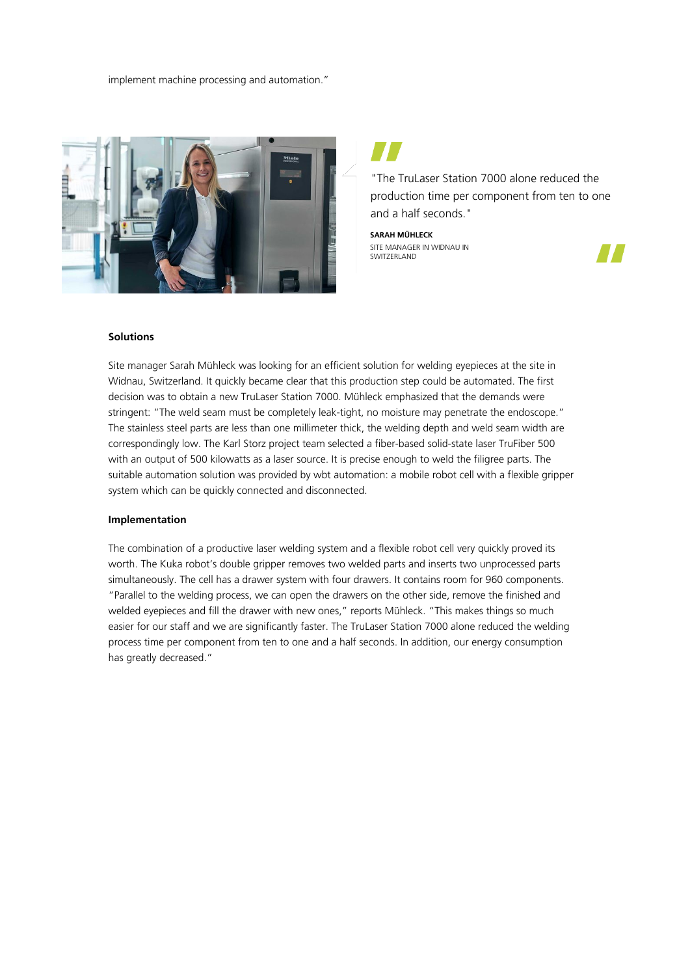implement machine processing and automation."



"The TruLaser Station 7000 alone reduced the production time per component from ten to one and a half seconds."

**SARAH MÜHLECK** SITE MANAGER IN WIDNAU IN SWITZERLAND



#### **Solutions**

Site manager Sarah Mühleck was looking for an efficient solution for welding eyepieces at the site in Widnau, Switzerland. It quickly became clear that this production step could be automated. The first decision was to obtain a new TruLaser Station 7000. Mühleck emphasized that the demands were stringent: "The weld seam must be completely leak-tight, no moisture may penetrate the endoscope." The stainless steel parts are less than one millimeter thick, the welding depth and weld seam width are correspondingly low. The Karl Storz project team selected a fiber-based solid-state laser TruFiber 500 with an output of 500 kilowatts as a laser source. It is precise enough to weld the filigree parts. The suitable automation solution was provided by wbt automation: a mobile robot cell with a flexible gripper system which can be quickly connected and disconnected.

#### **Implementation**

The combination of a productive laser welding system and a flexible robot cell very quickly proved its worth. The Kuka robot's double gripper removes two welded parts and inserts two unprocessed parts simultaneously. The cell has a drawer system with four drawers. It contains room for 960 components. "Parallel to the welding process, we can open the drawers on the other side, remove the finished and welded eyepieces and fill the drawer with new ones," reports Mühleck. "This makes things so much easier for our staff and we are significantly faster. The TruLaser Station 7000 alone reduced the welding process time per component from ten to one and a half seconds. In addition, our energy consumption has greatly decreased."